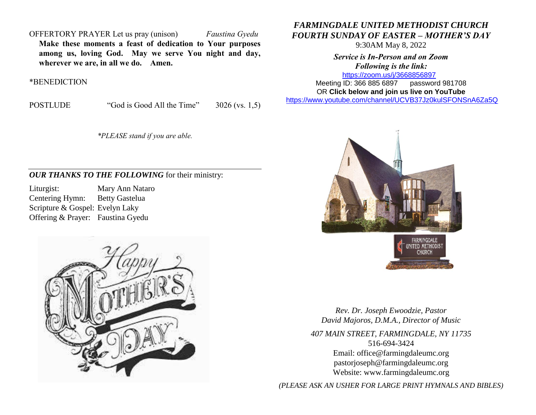OFFERTORY PRAYER Let us pray (unison) *Faustina Gyedu* **Make these moments a feast of dedication to Your purposes among us, loving God. May we serve You night and day, wherever we are, in all we do. Amen.**

\*BENEDICTION

POSTLUDE "God is Good All the Time" 3026 (vs. 1,5)

*\*PLEASE stand if you are able.*

## *OUR THANKS TO THE FOLLOWING* for their ministry:

Liturgist: Mary Ann Nataro Centering Hymn: Betty Gastelua Scripture & Gospel: Evelyn Laky Offering & Prayer: Faustina Gyedu



## *FARMINGDALE UNITED METHODIST CHURCH FOURTH SUNDAY OF EASTER – MOTHER'S DAY*

9:30AM May 8, 2022

*Service is In-Person and on Zoom Following is the link:* <https://zoom.us/j/3668856897>

Meeting ID: 366 885 6897 password 981708 OR **Click below and join us live on YouTube** 

[https://www.youtube.com/channel/UCVB37Jz0kulSFONSnA6Za5Q](https://r20.rs6.net/tn.jsp?f=001k6RGPvPFbGGMIcfKWiNR_iQRr6wnePVJO5wPBmTGTUG-6H7Rno-Ccjzncf7RAcA2aCO1usCGiuYYhUDPog8HWc38p-B70aEHKS8a7AZ633unLlDnlsyY1rSZY7DrB1di009D1MFmnX36MQIEkLrC34ZIDpgMTMT95Xsd-rYhXX761Me0QKhAdY1E-Os86l7d&c=&ch=)



*Rev. Dr. Joseph Ewoodzie, Pastor David Majoros, D.M.A., Director of Music*

*407 MAIN STREET, FARMINGDALE, NY 11735* 516-694-3424 Email: [office@farmingdaleumc.org](mailto:office@farmingdaleumc.org) pastorjoseph@farmingdaleumc.org Website: www.farmingdaleumc.org

*(PLEASE ASK AN USHER FOR LARGE PRINT HYMNALS AND BIBLES)*